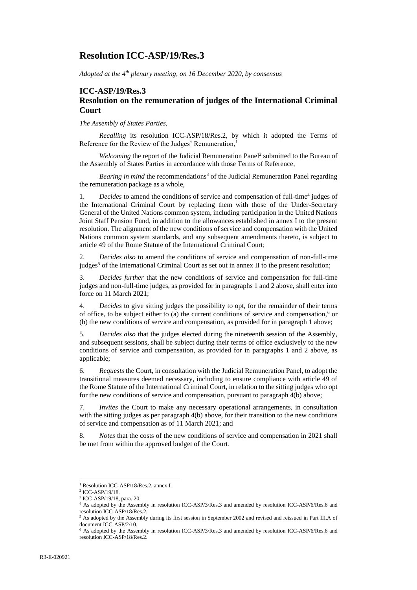# **Resolution ICC-ASP/19/Res.3**

*Adopted at the 4 th plenary meeting, on 16 December 2020, by consensus*

# **ICC-ASP/19/Res.3 Resolution on the remuneration of judges of the International Criminal Court**

*The Assembly of States Parties,* 

*Recalling* its resolution ICC-ASP/18/Res.2, by which it adopted the Terms of Reference for the Review of the Judges' Remuneration,<sup>1</sup>

Welcoming the report of the Judicial Remuneration Panel<sup>2</sup> submitted to the Bureau of the Assembly of States Parties in accordance with those Terms of Reference,

*Bearing in mind* the recommendations<sup>3</sup> of the Judicial Remuneration Panel regarding the remuneration package as a whole,

1. Decides to amend the conditions of service and compensation of full-time<sup>4</sup> judges of the International Criminal Court by replacing them with those of the Under-Secretary General of the United Nations common system, including participation in the United Nations Joint Staff Pension Fund, in addition to the allowances established in annex I to the present resolution. The alignment of the new conditions of service and compensation with the United Nations common system standards, and any subsequent amendments thereto, is subject to article 49 of the Rome Statute of the International Criminal Court;

2. *Decides also* to amend the conditions of service and compensation of non-full-time judges<sup>5</sup> of the International Criminal Court as set out in annex II to the present resolution;

3. *Decides further* that the new conditions of service and compensation for full-time judges and non-full-time judges, as provided for in paragraphs 1 and 2 above, shall enter into force on 11 March 2021;

4. *Decides* to give sitting judges the possibility to opt, for the remainder of their terms of office, to be subject either to (a) the current conditions of service and compensation,<sup>6</sup> or (b) the new conditions of service and compensation, as provided for in paragraph 1 above;

5. *Decides also* that the judges elected during the nineteenth session of the Assembly, and subsequent sessions, shall be subject during their terms of office exclusively to the new conditions of service and compensation, as provided for in paragraphs 1 and 2 above, as applicable;

6. *Requests* the Court, in consultation with the Judicial Remuneration Panel, to adopt the transitional measures deemed necessary, including to ensure compliance with article 49 of the Rome Statute of the International Criminal Court, in relation to the sitting judges who opt for the new conditions of service and compensation, pursuant to paragraph 4(b) above;

7. *Invites* the Court to make any necessary operational arrangements, in consultation with the sitting judges as per paragraph 4(b) above, for their transition to the new conditions of service and compensation as of 11 March 2021; and

8. *Notes* that the costs of the new conditions of service and compensation in 2021 shall be met from within the approved budget of the Court.

<sup>&</sup>lt;sup>1</sup> Resolution ICC-ASP/18/Res.2, annex I.

<sup>2</sup> ICC-ASP/19/18.

<sup>3</sup> ICC-ASP/19/18, para. 20.

<sup>4</sup> As adopted by the Assembly in resolution ICC-ASP/3/Res.3 and amended by resolution ICC-ASP/6/Res.6 and resolution ICC-ASP/18/Res.2.

<sup>&</sup>lt;sup>5</sup> As adopted by the Assembly during its first session in September 2002 and revised and reissued in Part III.A of document ICC-ASP/2/10.

<sup>6</sup> As adopted by the Assembly in resolution ICC-ASP/3/Res.3 and amended by resolution ICC-ASP/6/Res.6 and resolution ICC-ASP/18/Res.2.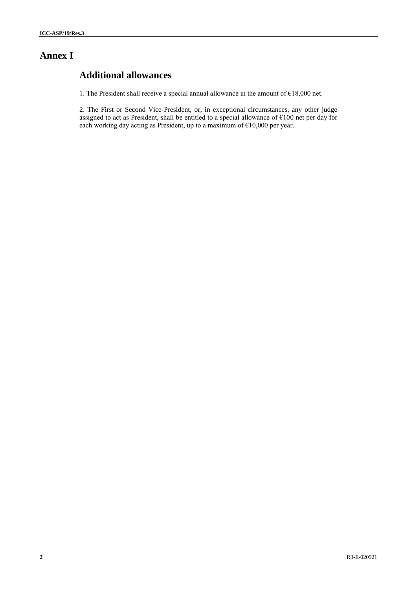# **Annex I**

# **Additional allowances**

1. The President shall receive a special annual allowance in the amount of €18,000 net.

2. The First or Second Vice-President, or, in exceptional circumstances, any other judge assigned to act as President, shall be entitled to a special allowance of  $\epsilon$ 100 net per day for each working day acting as President, up to a maximum of  $€10,000$  per year.